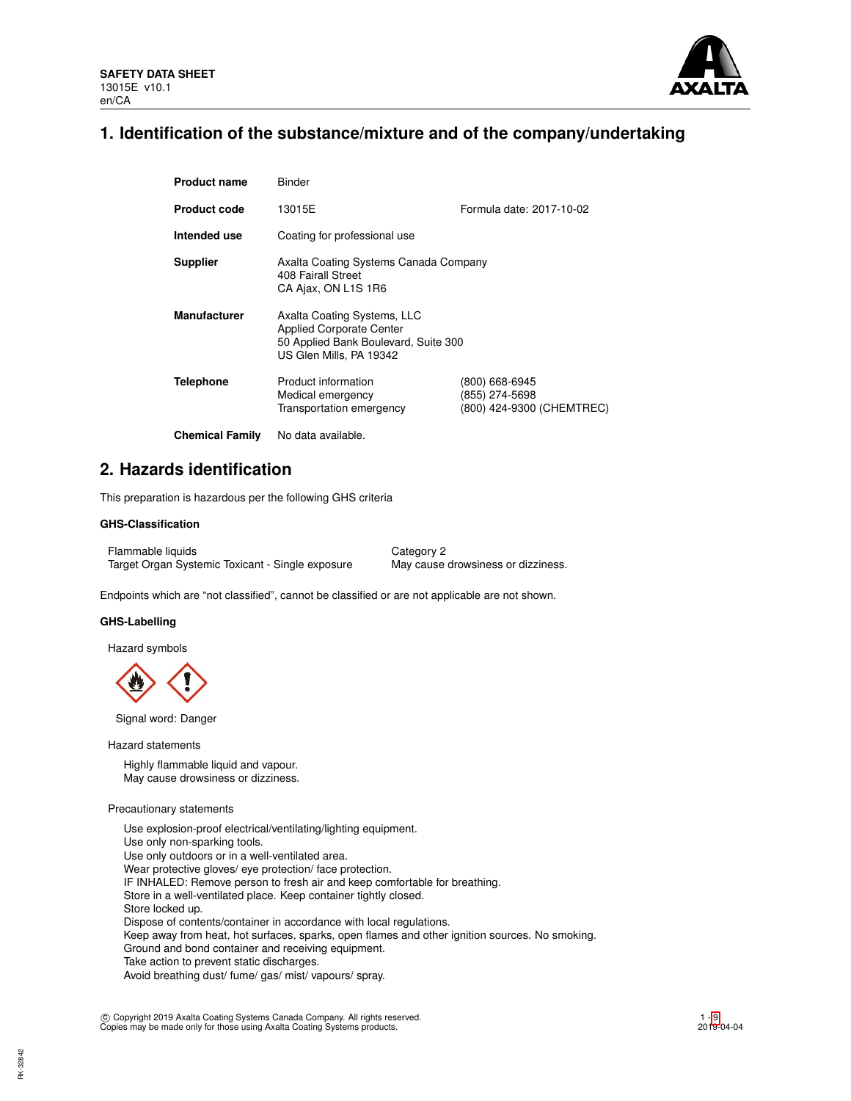

## **1. Identification of the substance/mixture and of the company/undertaking**

| <b>Product name</b>    | Binder                                                                                                                            |                                                               |  |  |
|------------------------|-----------------------------------------------------------------------------------------------------------------------------------|---------------------------------------------------------------|--|--|
| <b>Product code</b>    | 13015E                                                                                                                            | Formula date: 2017-10-02                                      |  |  |
| Intended use           | Coating for professional use                                                                                                      |                                                               |  |  |
| <b>Supplier</b>        | Axalta Coating Systems Canada Company<br>408 Fairall Street<br>CA Ajax, ON L1S 1R6                                                |                                                               |  |  |
| <b>Manufacturer</b>    | Axalta Coating Systems, LLC<br><b>Applied Corporate Center</b><br>50 Applied Bank Boulevard, Suite 300<br>US Glen Mills, PA 19342 |                                                               |  |  |
| <b>Telephone</b>       | Product information<br>Medical emergency<br>Transportation emergency                                                              | (800) 668-6945<br>(855) 274-5698<br>(800) 424-9300 (CHEMTREC) |  |  |
| <b>Chemical Family</b> | No data available.                                                                                                                |                                                               |  |  |

## **2. Hazards identification**

This preparation is hazardous per the following GHS criteria

## **GHS-Classification**

Flammable liquids Category 2 Target Organ Systemic Toxicant - Single exposure May cause drowsiness or dizziness.

Endpoints which are "not classified", cannot be classified or are not applicable are not shown.

## **GHS-Labelling**

Hazard symbols



Signal word: Danger

Hazard statements

Highly flammable liquid and vapour. May cause drowsiness or dizziness.

### Precautionary statements

Use explosion-proof electrical/ventilating/lighting equipment. Use only non-sparking tools. Use only outdoors or in a well-ventilated area. Wear protective gloves/ eye protection/ face protection. IF INHALED: Remove person to fresh air and keep comfortable for breathing. Store in a well-ventilated place. Keep container tightly closed. Store locked up. Dispose of contents/container in accordance with local regulations. Keep away from heat, hot surfaces, sparks, open flames and other ignition sources. No smoking. Ground and bond container and receiving equipment. Take action to prevent static discharges. Avoid breathing dust/ fume/ gas/ mist/ vapours/ spray.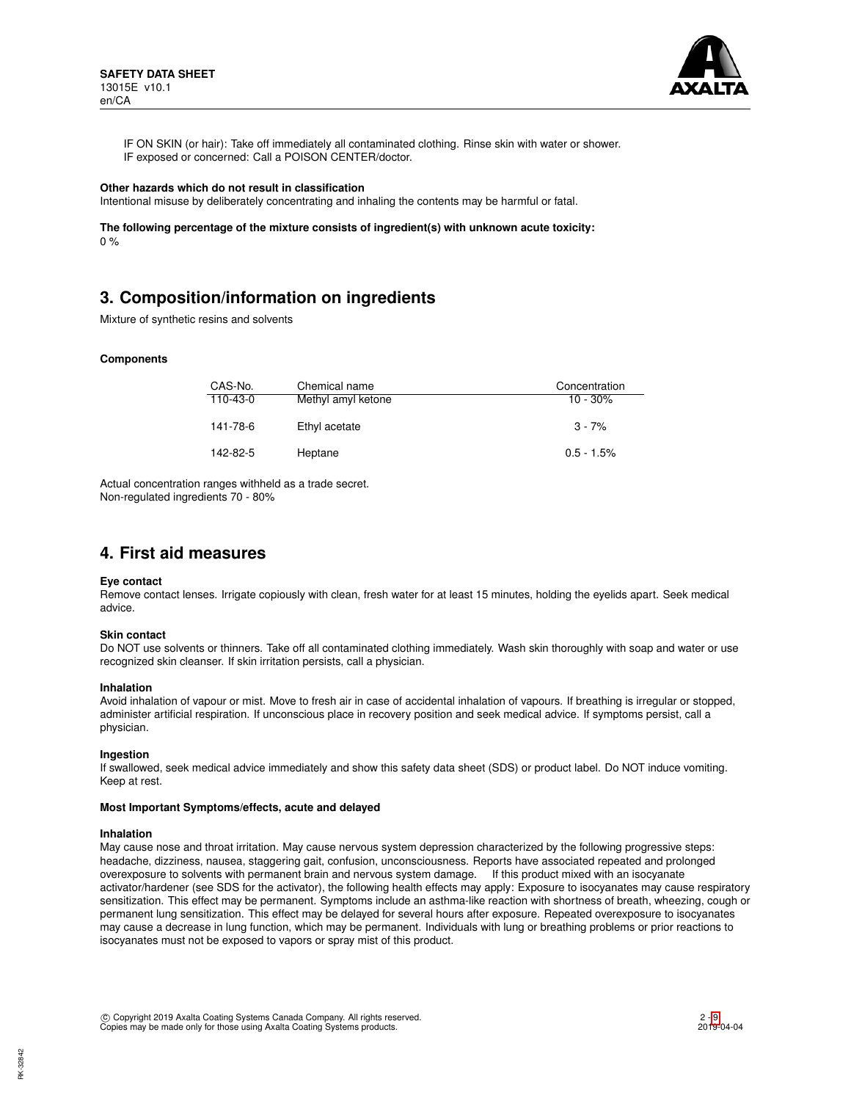

IF ON SKIN (or hair): Take off immediately all contaminated clothing. Rinse skin with water or shower. IF exposed or concerned: Call a POISON CENTER/doctor.

#### **Other hazards which do not result in classification**

Intentional misuse by deliberately concentrating and inhaling the contents may be harmful or fatal.

**The following percentage of the mixture consists of ingredient(s) with unknown acute toxicity:**  $0 %$ 

# **3. Composition/information on ingredients**

Mixture of synthetic resins and solvents

### **Components**

| CAS-No.  | Chemical name      | Concentration |
|----------|--------------------|---------------|
| 110-43-0 | Methyl amyl ketone | $10 - 30\%$   |
| 141-78-6 | Ethyl acetate      | $3 - 7%$      |
| 142-82-5 | Heptane            | $0.5 - 1.5\%$ |

Actual concentration ranges withheld as a trade secret. Non-regulated ingredients 70 - 80%

## **4. First aid measures**

### **Eye contact**

Remove contact lenses. Irrigate copiously with clean, fresh water for at least 15 minutes, holding the eyelids apart. Seek medical advice.

### **Skin contact**

Do NOT use solvents or thinners. Take off all contaminated clothing immediately. Wash skin thoroughly with soap and water or use recognized skin cleanser. If skin irritation persists, call a physician.

### **Inhalation**

Avoid inhalation of vapour or mist. Move to fresh air in case of accidental inhalation of vapours. If breathing is irregular or stopped, administer artificial respiration. If unconscious place in recovery position and seek medical advice. If symptoms persist, call a physician.

## **Ingestion**

If swallowed, seek medical advice immediately and show this safety data sheet (SDS) or product label. Do NOT induce vomiting. Keep at rest.

### **Most Important Symptoms/effects, acute and delayed**

#### **Inhalation**

May cause nose and throat irritation. May cause nervous system depression characterized by the following progressive steps: headache, dizziness, nausea, staggering gait, confusion, unconsciousness. Reports have associated repeated and prolonged overexposure to solvents with permanent brain and nervous system damage. If this product mixed with an isocyanate activator/hardener (see SDS for the activator), the following health effects may apply: Exposure to isocyanates may cause respiratory sensitization. This effect may be permanent. Symptoms include an asthma-like reaction with shortness of breath, wheezing, cough or permanent lung sensitization. This effect may be delayed for several hours after exposure. Repeated overexposure to isocyanates may cause a decrease in lung function, which may be permanent. Individuals with lung or breathing problems or prior reactions to isocyanates must not be exposed to vapors or spray mist of this product.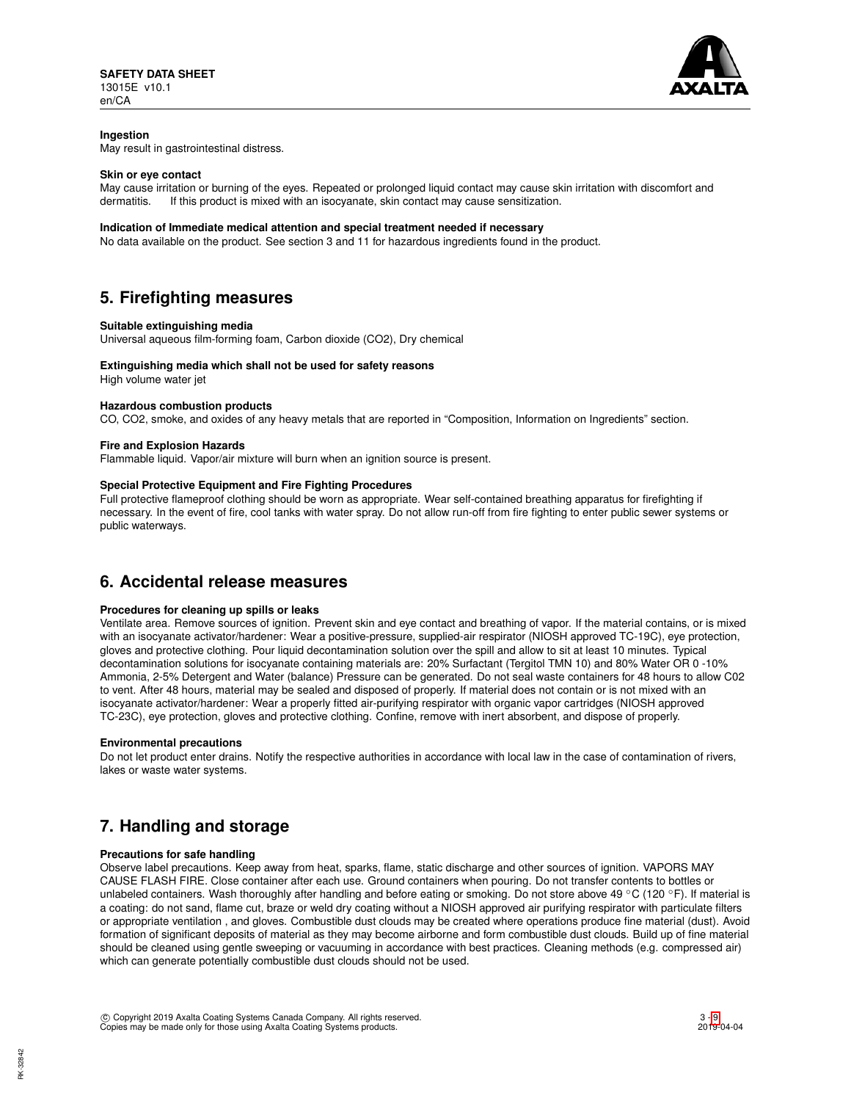

## **Ingestion**

May result in gastrointestinal distress.

## **Skin or eye contact**

May cause irritation or burning of the eyes. Repeated or prolonged liquid contact may cause skin irritation with discomfort and dermatitis. If this product is mixed with an isocyanate, skin contact may cause sensitization.

### **Indication of Immediate medical attention and special treatment needed if necessary**

No data available on the product. See section 3 and 11 for hazardous ingredients found in the product.

## **5. Firefighting measures**

## **Suitable extinguishing media**

Universal aqueous film-forming foam, Carbon dioxide (CO2), Dry chemical

## **Extinguishing media which shall not be used for safety reasons**

High volume water jet

## **Hazardous combustion products**

CO, CO2, smoke, and oxides of any heavy metals that are reported in "Composition, Information on Ingredients" section.

## **Fire and Explosion Hazards**

Flammable liquid. Vapor/air mixture will burn when an ignition source is present.

## **Special Protective Equipment and Fire Fighting Procedures**

Full protective flameproof clothing should be worn as appropriate. Wear self-contained breathing apparatus for firefighting if necessary. In the event of fire, cool tanks with water spray. Do not allow run-off from fire fighting to enter public sewer systems or public waterways.

## **6. Accidental release measures**

## **Procedures for cleaning up spills or leaks**

Ventilate area. Remove sources of ignition. Prevent skin and eye contact and breathing of vapor. If the material contains, or is mixed with an isocyanate activator/hardener: Wear a positive-pressure, supplied-air respirator (NIOSH approved TC-19C), eye protection, gloves and protective clothing. Pour liquid decontamination solution over the spill and allow to sit at least 10 minutes. Typical decontamination solutions for isocyanate containing materials are: 20% Surfactant (Tergitol TMN 10) and 80% Water OR 0 -10% Ammonia, 2-5% Detergent and Water (balance) Pressure can be generated. Do not seal waste containers for 48 hours to allow C02 to vent. After 48 hours, material may be sealed and disposed of properly. If material does not contain or is not mixed with an isocyanate activator/hardener: Wear a properly fitted air-purifying respirator with organic vapor cartridges (NIOSH approved TC-23C), eye protection, gloves and protective clothing. Confine, remove with inert absorbent, and dispose of properly.

### **Environmental precautions**

Do not let product enter drains. Notify the respective authorities in accordance with local law in the case of contamination of rivers, lakes or waste water systems.

# **7. Handling and storage**

## **Precautions for safe handling**

Observe label precautions. Keep away from heat, sparks, flame, static discharge and other sources of ignition. VAPORS MAY CAUSE FLASH FIRE. Close container after each use. Ground containers when pouring. Do not transfer contents to bottles or unlabeled containers. Wash thoroughly after handling and before eating or smoking. Do not store above 49 °C (120 °F). If material is a coating: do not sand, flame cut, braze or weld dry coating without a NIOSH approved air purifying respirator with particulate filters or appropriate ventilation , and gloves. Combustible dust clouds may be created where operations produce fine material (dust). Avoid formation of significant deposits of material as they may become airborne and form combustible dust clouds. Build up of fine material should be cleaned using gentle sweeping or vacuuming in accordance with best practices. Cleaning methods (e.g. compressed air) which can generate potentially combustible dust clouds should not be used.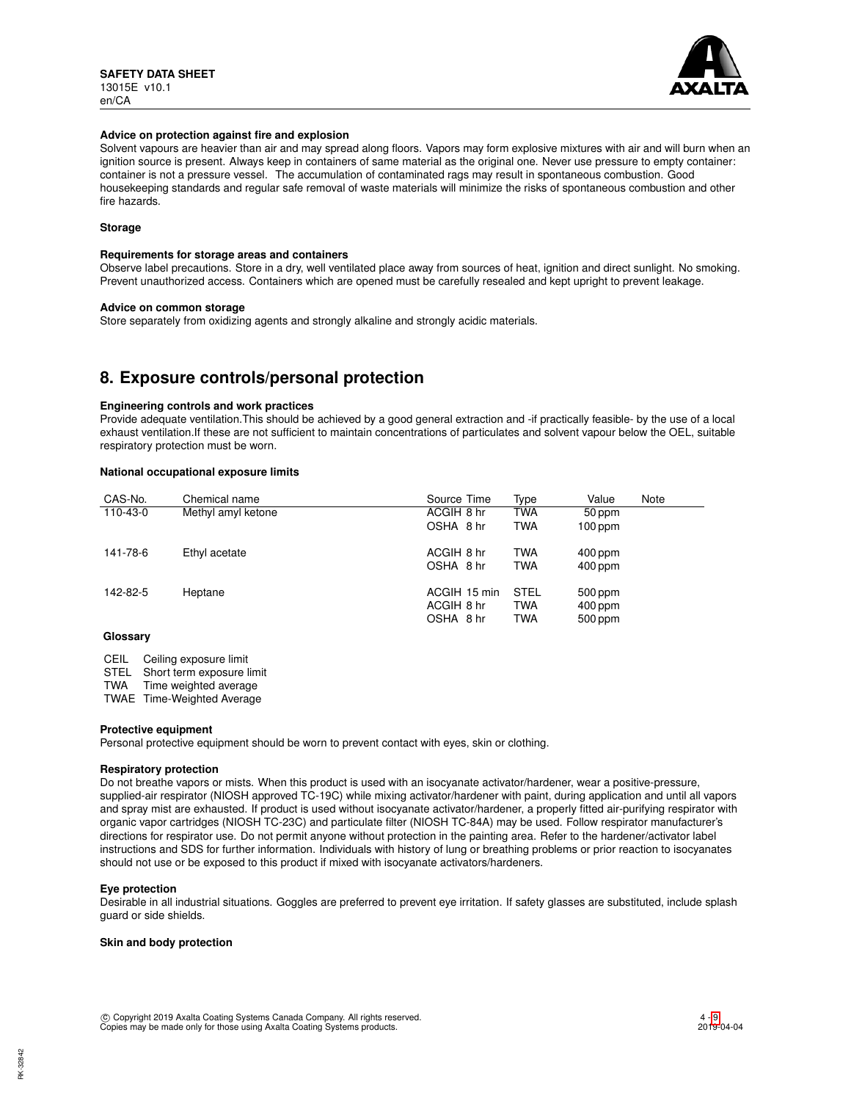

### **Advice on protection against fire and explosion**

Solvent vapours are heavier than air and may spread along floors. Vapors may form explosive mixtures with air and will burn when an ignition source is present. Always keep in containers of same material as the original one. Never use pressure to empty container: container is not a pressure vessel. The accumulation of contaminated rags may result in spontaneous combustion. Good housekeeping standards and regular safe removal of waste materials will minimize the risks of spontaneous combustion and other fire hazards.

## **Storage**

### **Requirements for storage areas and containers**

Observe label precautions. Store in a dry, well ventilated place away from sources of heat, ignition and direct sunlight. No smoking. Prevent unauthorized access. Containers which are opened must be carefully resealed and kept upright to prevent leakage.

### **Advice on common storage**

Store separately from oxidizing agents and strongly alkaline and strongly acidic materials.

# **8. Exposure controls/personal protection**

## **Engineering controls and work practices**

Provide adequate ventilation.This should be achieved by a good general extraction and -if practically feasible- by the use of a local exhaust ventilation.If these are not sufficient to maintain concentrations of particulates and solvent vapour below the OEL, suitable respiratory protection must be worn.

## **National occupational exposure limits**

| CAS-No.  | Chemical name      | Source Time  | Type        | Value     | Note |
|----------|--------------------|--------------|-------------|-----------|------|
| 110-43-0 | Methyl amyl ketone | ACGIH 8 hr   | <b>TWA</b>  | 50 ppm    |      |
|          |                    | OSHA 8 hr    | <b>TWA</b>  | $100$ ppm |      |
| 141-78-6 | Ethyl acetate      | ACGIH 8 hr   | <b>TWA</b>  | 400 ppm   |      |
|          |                    | OSHA 8 hr    | <b>TWA</b>  | 400 ppm   |      |
| 142-82-5 | Heptane            | ACGIH 15 min | <b>STEL</b> | 500 ppm   |      |
|          |                    | ACGIH 8 hr   | <b>TWA</b>  | 400 ppm   |      |
|          |                    | OSHA 8 hr    | <b>TWA</b>  | 500 ppm   |      |
| Clossom, |                    |              |             |           |      |

### **Glossary**

CEIL Ceiling exposure limit

STEL Short term exposure limit<br>TWA Time weighted average

Time weighted average

TWAE Time-Weighted Average

### **Protective equipment**

Personal protective equipment should be worn to prevent contact with eyes, skin or clothing.

## **Respiratory protection**

Do not breathe vapors or mists. When this product is used with an isocyanate activator/hardener, wear a positive-pressure, supplied-air respirator (NIOSH approved TC-19C) while mixing activator/hardener with paint, during application and until all vapors and spray mist are exhausted. If product is used without isocyanate activator/hardener, a properly fitted air-purifying respirator with organic vapor cartridges (NIOSH TC-23C) and particulate filter (NIOSH TC-84A) may be used. Follow respirator manufacturer's directions for respirator use. Do not permit anyone without protection in the painting area. Refer to the hardener/activator label instructions and SDS for further information. Individuals with history of lung or breathing problems or prior reaction to isocyanates should not use or be exposed to this product if mixed with isocyanate activators/hardeners.

### **Eye protection**

Desirable in all industrial situations. Goggles are preferred to prevent eye irritation. If safety glasses are substituted, include splash guard or side shields.

### **Skin and body protection**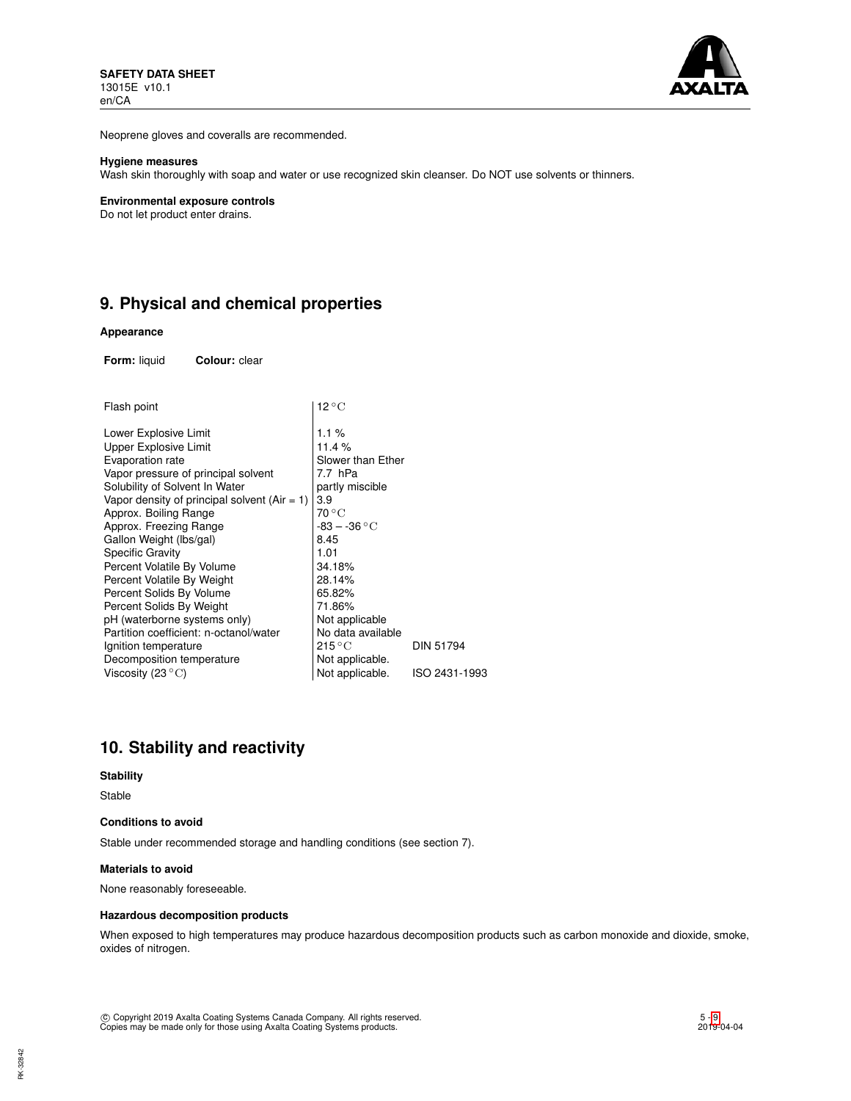

Neoprene gloves and coveralls are recommended.

## **Hygiene measures**

Wash skin thoroughly with soap and water or use recognized skin cleanser. Do NOT use solvents or thinners.

#### **Environmental exposure controls**

Do not let product enter drains.

# **9. Physical and chemical properties**

### **Appearance**

**Form:** liquid **Colour:** clear

| Flash point                                  | $12^{\circ}$ C            |                  |
|----------------------------------------------|---------------------------|------------------|
| Lower Explosive Limit                        | 1.1%                      |                  |
| Upper Explosive Limit                        | 11.4 %                    |                  |
| Evaporation rate                             | Slower than Ether         |                  |
| Vapor pressure of principal solvent          | 7.7 hPa                   |                  |
| Solubility of Solvent In Water               | partly miscible           |                  |
| Vapor density of principal solvent (Air = 1) | 3.9                       |                  |
| Approx. Boiling Range                        | $70^{\circ}$ C            |                  |
| Approx. Freezing Range                       | $-83 - -36$ °C            |                  |
| Gallon Weight (Ibs/gal)                      | 8.45                      |                  |
| Specific Gravity                             | 1.01                      |                  |
| Percent Volatile By Volume                   | 34.18%                    |                  |
| Percent Volatile By Weight                   | 28.14%                    |                  |
| Percent Solids By Volume                     | 65.82%                    |                  |
| Percent Solids By Weight                     | 71.86%                    |                  |
| pH (waterborne systems only)                 | Not applicable            |                  |
| Partition coefficient: n-octanol/water       | No data available         |                  |
| Ignition temperature                         | $215\,^{\circ}\mathrm{C}$ | <b>DIN 51794</b> |
| Decomposition temperature                    | Not applicable.           |                  |
| Viscosity (23 $^{\circ}$ C)                  | Not applicable.           | ISO 2431-1993    |
|                                              |                           |                  |

## **10. Stability and reactivity**

## **Stability**

Stable

## **Conditions to avoid**

Stable under recommended storage and handling conditions (see section 7).

## **Materials to avoid**

None reasonably foreseeable.

## **Hazardous decomposition products**

When exposed to high temperatures may produce hazardous decomposition products such as carbon monoxide and dioxide, smoke, oxides of nitrogen.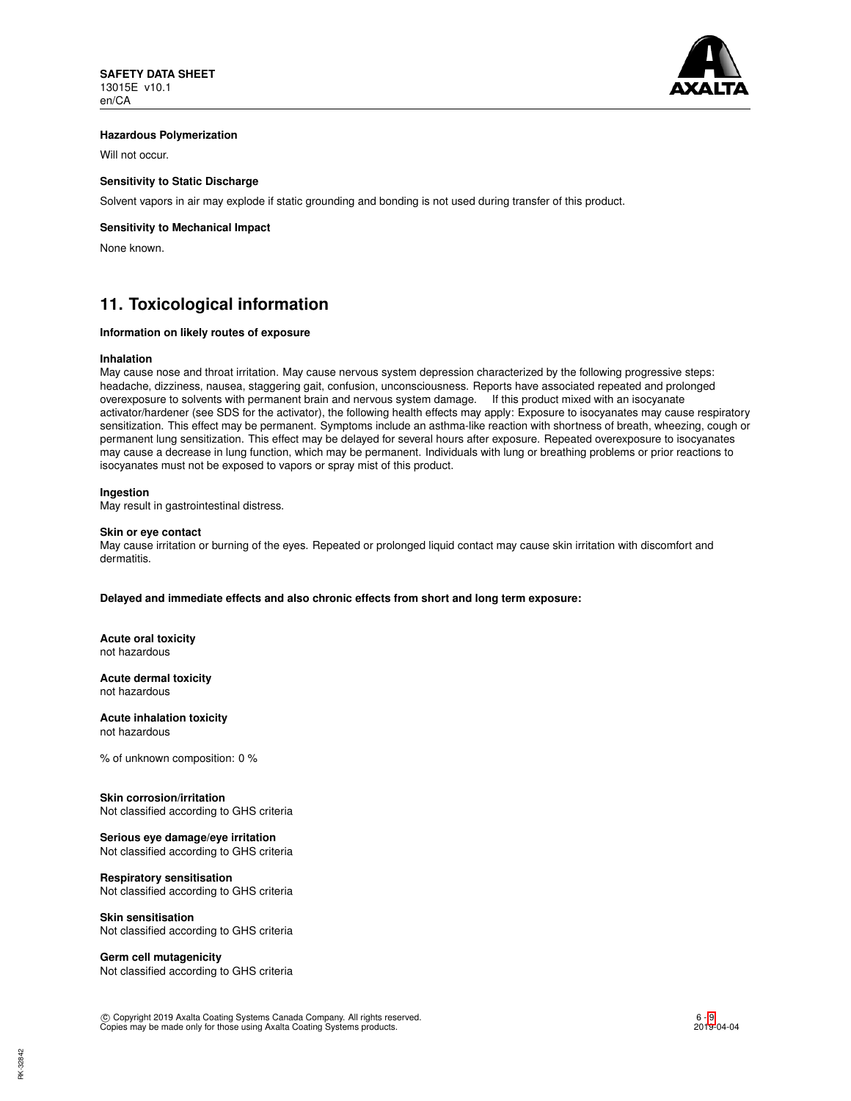

## **Hazardous Polymerization**

Will not occur.

## **Sensitivity to Static Discharge**

Solvent vapors in air may explode if static grounding and bonding is not used during transfer of this product.

## **Sensitivity to Mechanical Impact**

None known.

# **11. Toxicological information**

## **Information on likely routes of exposure**

#### **Inhalation**

May cause nose and throat irritation. May cause nervous system depression characterized by the following progressive steps: headache, dizziness, nausea, staggering gait, confusion, unconsciousness. Reports have associated repeated and prolonged overexposure to solvents with permanent brain and nervous system damage. If this product mixed with an isocyanate activator/hardener (see SDS for the activator), the following health effects may apply: Exposure to isocyanates may cause respiratory sensitization. This effect may be permanent. Symptoms include an asthma-like reaction with shortness of breath, wheezing, cough or permanent lung sensitization. This effect may be delayed for several hours after exposure. Repeated overexposure to isocyanates may cause a decrease in lung function, which may be permanent. Individuals with lung or breathing problems or prior reactions to isocyanates must not be exposed to vapors or spray mist of this product.

### **Ingestion**

May result in gastrointestinal distress.

#### **Skin or eye contact**

May cause irritation or burning of the eyes. Repeated or prolonged liquid contact may cause skin irritation with discomfort and dermatitis.

**Delayed and immediate effects and also chronic effects from short and long term exposure:**

**Acute oral toxicity** not hazardous

**Acute dermal toxicity** not hazardous

**Acute inhalation toxicity** not hazardous

% of unknown composition: 0 %

## **Skin corrosion/irritation**

Not classified according to GHS criteria

## **Serious eye damage/eye irritation**

Not classified according to GHS criteria

## **Respiratory sensitisation**

Not classified according to GHS criteria

## **Skin sensitisation** Not classified according to GHS criteria

## **Germ cell mutagenicity**

Not classified according to GHS criteria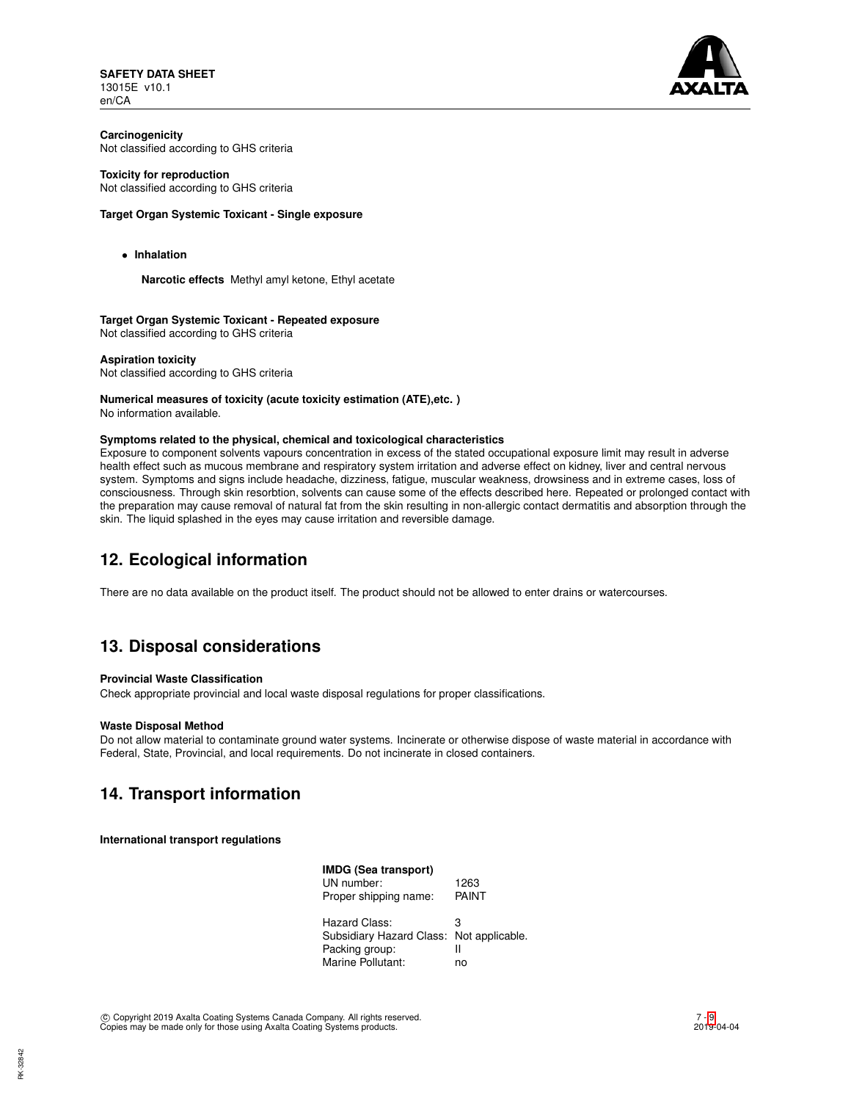**SAFETY DATA SHEET** 13015E v10.1 en/CA



**Carcinogenicity** Not classified according to GHS criteria

## **Toxicity for reproduction**

Not classified according to GHS criteria

## **Target Organ Systemic Toxicant - Single exposure**

• **Inhalation**

**Narcotic effects** Methyl amyl ketone, Ethyl acetate

**Target Organ Systemic Toxicant - Repeated exposure** Not classified according to GHS criteria

**Aspiration toxicity** Not classified according to GHS criteria

# **Numerical measures of toxicity (acute toxicity estimation (ATE),etc. )**

No information available.

## **Symptoms related to the physical, chemical and toxicological characteristics**

Exposure to component solvents vapours concentration in excess of the stated occupational exposure limit may result in adverse health effect such as mucous membrane and respiratory system irritation and adverse effect on kidney, liver and central nervous system. Symptoms and signs include headache, dizziness, fatigue, muscular weakness, drowsiness and in extreme cases, loss of consciousness. Through skin resorbtion, solvents can cause some of the effects described here. Repeated or prolonged contact with the preparation may cause removal of natural fat from the skin resulting in non-allergic contact dermatitis and absorption through the skin. The liquid splashed in the eyes may cause irritation and reversible damage.

# **12. Ecological information**

There are no data available on the product itself. The product should not be allowed to enter drains or watercourses.

# **13. Disposal considerations**

## **Provincial Waste Classification**

Check appropriate provincial and local waste disposal regulations for proper classifications.

## **Waste Disposal Method**

Do not allow material to contaminate ground water systems. Incinerate or otherwise dispose of waste material in accordance with Federal, State, Provincial, and local requirements. Do not incinerate in closed containers.

# **14. Transport information**

**International transport regulations**

| IMDG (Sea transport)                     |       |
|------------------------------------------|-------|
| UN number:                               | 1263  |
| Proper shipping name:                    | PAINT |
| Hazard Class:                            | з     |
| Subsidiary Hazard Class: Not applicable. |       |
| Packing group:                           | Ш     |
| Marine Pollutant:                        | no    |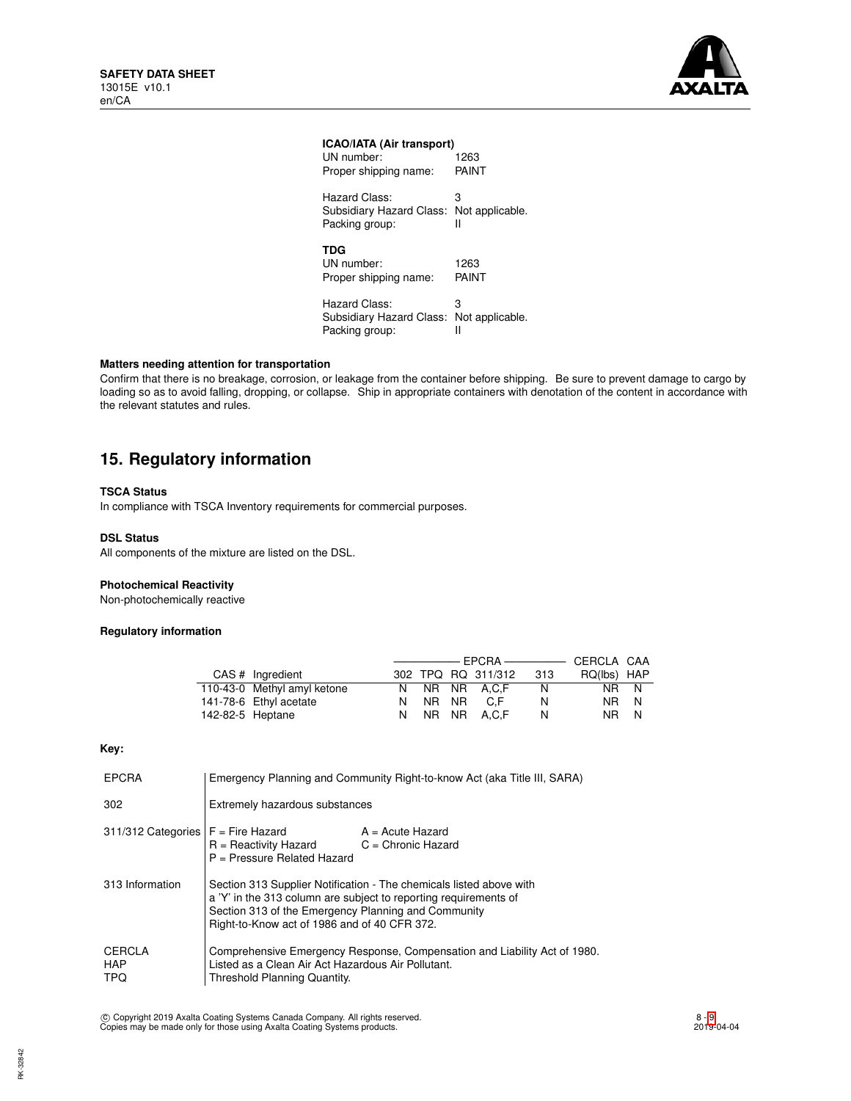

## **ICAO/IATA (Air transport)**

| UN number:                                        | 1263            |
|---------------------------------------------------|-----------------|
| Proper shipping name:                             | PAINT           |
| Hazard Class:                                     | З               |
| Subsidiary Hazard Class:                          | Not applicable. |
| Packing group:                                    | Ш               |
| <b>TDG</b><br>UN number:<br>Proper shipping name: | 1263<br>PAINT   |
| Hazard Class:                                     | з               |
| Subsidiary Hazard Class:                          | Not applicable. |
| Packing group:                                    | Ш               |

## **Matters needing attention for transportation**

Confirm that there is no breakage, corrosion, or leakage from the container before shipping. Be sure to prevent damage to cargo by loading so as to avoid falling, dropping, or collapse. Ship in appropriate containers with denotation of the content in accordance with the relevant statutes and rules.

# **15. Regulatory information**

## **TSCA Status**

In compliance with TSCA Inventory requirements for commercial purposes.

### **DSL Status**

All components of the mixture are listed on the DSL.

## **Photochemical Reactivity**

Non-photochemically reactive

## **Regulatory information**

|                  | CAS # Ingredient            |         | 302 TPQ RQ 311/312 | - 313 | RQ(lbs) HAP |   |
|------------------|-----------------------------|---------|--------------------|-------|-------------|---|
|                  | 110-43-0 Methyl amyl ketone |         | N NR NR A.C.F      | N     | NR N        |   |
|                  | 141-78-6 Ethyl acetate      | N NR NR | C.F.               | N     | NR N        |   |
| 142-82-5 Heptane |                             |         | N NR NR A.C.F      | N     | NR 11       | N |

**Key:**

| <b>EPCRA</b>                         | Emergency Planning and Community Right-to-know Act (aka Title III, SARA)                                                                                                                                                                       |                                            |  |
|--------------------------------------|------------------------------------------------------------------------------------------------------------------------------------------------------------------------------------------------------------------------------------------------|--------------------------------------------|--|
| 302                                  | Extremely hazardous substances                                                                                                                                                                                                                 |                                            |  |
| 311/312 Categories $F =$ Fire Hazard | R = Reactivity Hazard<br>$P =$ Pressure Related Hazard                                                                                                                                                                                         | $A = Acute$ Hazard<br>$C =$ Chronic Hazard |  |
| 313 Information                      | Section 313 Supplier Notification - The chemicals listed above with<br>a 'Y' in the 313 column are subject to reporting requirements of<br>Section 313 of the Emergency Planning and Community<br>Right-to-Know act of 1986 and of 40 CFR 372. |                                            |  |
| CERCLA<br><b>HAP</b><br><b>TPQ</b>   | Comprehensive Emergency Response, Compensation and Liability Act of 1980.<br>Listed as a Clean Air Act Hazardous Air Pollutant.<br>Threshold Planning Quantity.                                                                                |                                            |  |